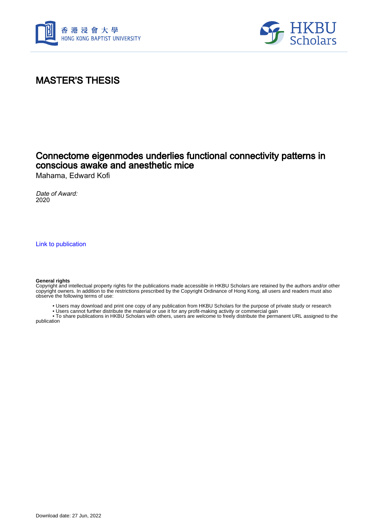



# MASTER'S THESIS

## Connectome eigenmodes underlies functional connectivity patterns in conscious awake and anesthetic mice

Mahama, Edward Kofi

Date of Award: 2020

[Link to publication](https://scholars.hkbu.edu.hk/en/studentTheses/a8dd16e9-779b-4380-ac72-800c4dba27d7)

#### **General rights**

Copyright and intellectual property rights for the publications made accessible in HKBU Scholars are retained by the authors and/or other copyright owners. In addition to the restrictions prescribed by the Copyright Ordinance of Hong Kong, all users and readers must also observe the following terms of use:

- Users may download and print one copy of any publication from HKBU Scholars for the purpose of private study or research
- Users cannot further distribute the material or use it for any profit-making activity or commercial gain

 • To share publications in HKBU Scholars with others, users are welcome to freely distribute the permanent URL assigned to the publication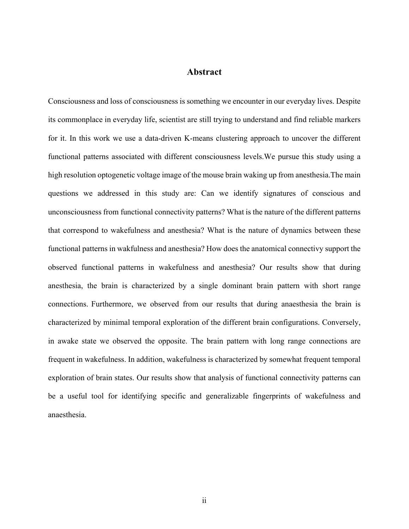### **Abstract**

Consciousness and loss of consciousness is something we encounter in our everyday lives. Despite its commonplace in everyday life, scientist are still trying to understand and find reliable markers for it. In this work we use a data-driven K-means clustering approach to uncover the different functional patterns associated with different consciousness levels.We pursue this study using a high resolution optogenetic voltage image of the mouse brain waking up from anesthesia.The main questions we addressed in this study are: Can we identify signatures of conscious and unconsciousness from functional connectivity patterns? What is the nature of the different patterns that correspond to wakefulness and anesthesia? What is the nature of dynamics between these functional patterns in wakfulness and anesthesia? How does the anatomical connectivy support the observed functional patterns in wakefulness and anesthesia? Our results show that during anesthesia, the brain is characterized by a single dominant brain pattern with short range connections. Furthermore, we observed from our results that during anaesthesia the brain is characterized by minimal temporal exploration of the different brain configurations. Conversely, in awake state we observed the opposite. The brain pattern with long range connections are frequent in wakefulness. In addition, wakefulness is characterized by somewhat frequent temporal exploration of brain states. Our results show that analysis of functional connectivity patterns can be a useful tool for identifying specific and generalizable fingerprints of wakefulness and anaesthesia.